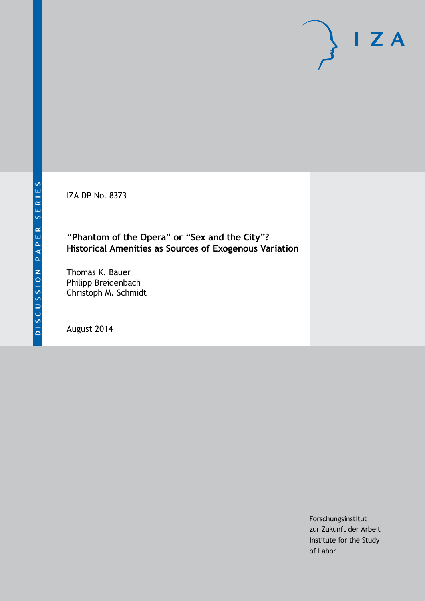IZA DP No. 8373

# **"Phantom of the Opera" or "Sex and the City"? Historical Amenities as Sources of Exogenous Variation**

Thomas K. Bauer Philipp Breidenbach Christoph M. Schmidt

August 2014

Forschungsinstitut zur Zukunft der Arbeit Institute for the Study of Labor

 $I Z A$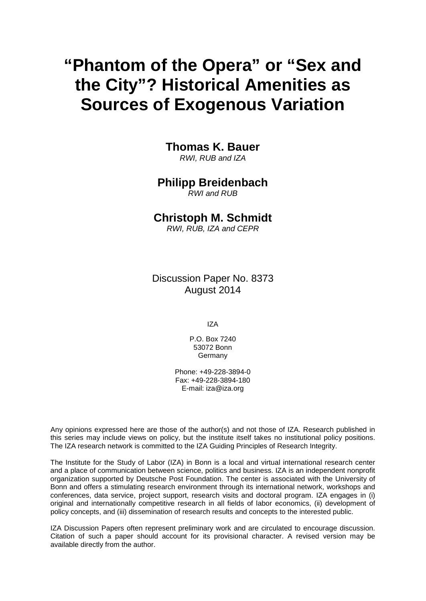# **"Phantom of the Opera" or "Sex and the City"? Historical Amenities as Sources of Exogenous Variation**

# **Thomas K. Bauer**

*RWI, RUB and IZA*

### **Philipp Breidenbach**

*RWI and RUB*

### **Christoph M. Schmidt**

*RWI, RUB, IZA and CEPR*

Discussion Paper No. 8373 August 2014

IZA

P.O. Box 7240 53072 Bonn Germany

Phone: +49-228-3894-0 Fax: +49-228-3894-180 E-mail: [iza@iza.org](mailto:iza@iza.org)

Any opinions expressed here are those of the author(s) and not those of IZA. Research published in this series may include views on policy, but the institute itself takes no institutional policy positions. The IZA research network is committed to the IZA Guiding Principles of Research Integrity.

The Institute for the Study of Labor (IZA) in Bonn is a local and virtual international research center and a place of communication between science, politics and business. IZA is an independent nonprofit organization supported by Deutsche Post Foundation. The center is associated with the University of Bonn and offers a stimulating research environment through its international network, workshops and conferences, data service, project support, research visits and doctoral program. IZA engages in (i) original and internationally competitive research in all fields of labor economics, (ii) development of policy concepts, and (iii) dissemination of research results and concepts to the interested public.

IZA Discussion Papers often represent preliminary work and are circulated to encourage discussion. Citation of such a paper should account for its provisional character. A revised version may be available directly from the author.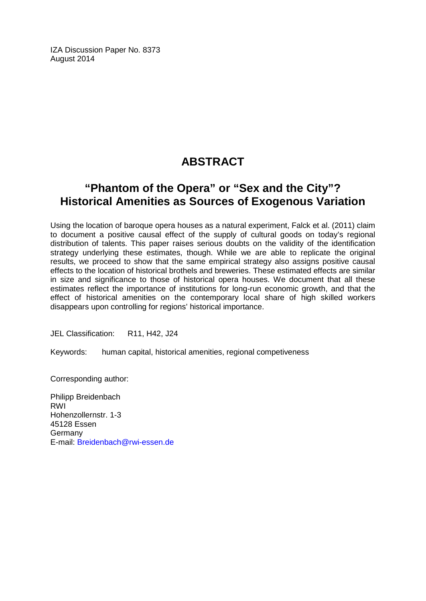IZA Discussion Paper No. 8373 August 2014

# **ABSTRACT**

# **"Phantom of the Opera" or "Sex and the City"? Historical Amenities as Sources of Exogenous Variation**

Using the location of baroque opera houses as a natural experiment, Falck et al. (2011) claim to document a positive causal effect of the supply of cultural goods on today's regional distribution of talents. This paper raises serious doubts on the validity of the identification strategy underlying these estimates, though. While we are able to replicate the original results, we proceed to show that the same empirical strategy also assigns positive causal effects to the location of historical brothels and breweries. These estimated effects are similar in size and significance to those of historical opera houses. We document that all these estimates reflect the importance of institutions for long-run economic growth, and that the effect of historical amenities on the contemporary local share of high skilled workers disappears upon controlling for regions' historical importance.

JEL Classification: R11, H42, J24

Keywords: human capital, historical amenities, regional competiveness

Corresponding author:

Philipp Breidenbach RWI Hohenzollernstr. 1-3 45128 Essen **Germany** E-mail: [Breidenbach@rwi-essen.de](mailto:Breidenbach@rwi-essen.de)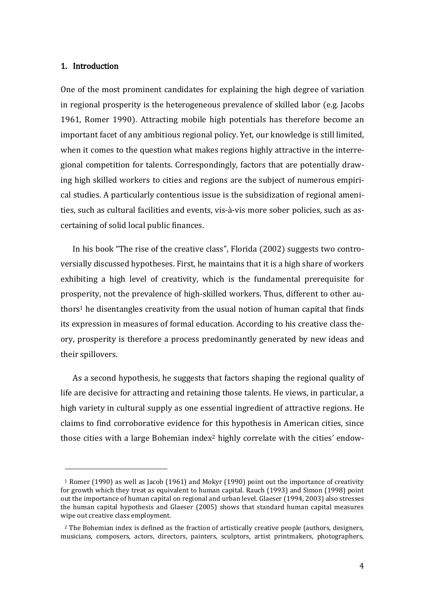#### 1. Introduction

 $\overline{a}$ 

One of the most prominent candidates for explaining the high degree of variation in regional prosperity is the heterogeneous prevalence of skilled labor (e.g. Jacobs 1961, Romer 1990). Attracting mobile high potentials has therefore become an important facet of any ambitious regional policy. Yet, our knowledge is still limited, when it comes to the question what makes regions highly attractive in the interregional competition for talents. Correspondingly, factors that are potentially drawing high skilled workers to cities and regions are the subject of numerous empirical studies. A particularly contentious issue is the subsidization of regional amenities, such as cultural facilities and events, vis-à-vis more sober policies, such as ascertaining of solid local public finances.

In his book "The rise of the creative class", Florida (2002) suggests two controversially discussed hypotheses. First, he maintains that it is a high share of workers exhibiting a high level of creativity, which is the fundamental prerequisite for prosperity, not the prevalence of high-skilled workers. Thus, different to other authors<sup>1</sup> he disentangles creativity from the usual notion of human capital that finds its expression in measures of formal education. According to his creative class theory, prosperity is therefore a process predominantly generated by new ideas and their spillovers.

As a second hypothesis, he suggests that factors shaping the regional quality of life are decisive for attracting and retaining those talents. He views, in particular, a high variety in cultural supply as one essential ingredient of attractive regions. He claims to find corroborative evidence for this hypothesis in American cities, since those cities with a large Bohemian index<sup>2</sup> highly correlate with the cities' endow-

<sup>1</sup> Romer (1990) as well as Jacob (1961) and Mokyr (1990) point out the importance of creativity for growth which they treat as equivalent to human capital. Rauch (1993) and Simon (1998) point out the importance of human capital on regional and urban level. Glaeser (1994, 2003) also stresses the human capital hypothesis and Glaeser (2005) shows that standard human capital measures wipe out creative class employment.

<sup>&</sup>lt;sup>2</sup> The Bohemian index is defined as the fraction of artistically creative people (authors, designers, musicians, composers, actors, directors, painters, sculptors, artist printmakers, photographers,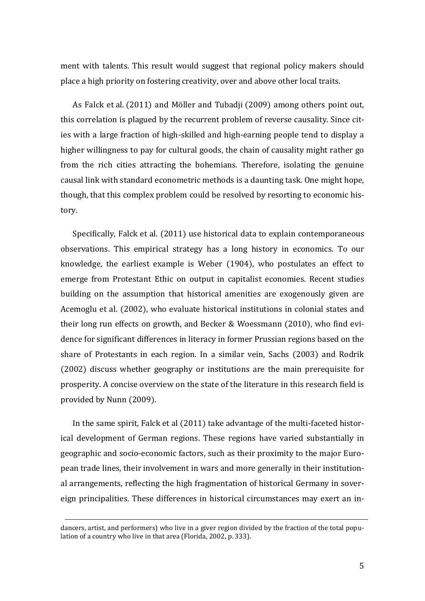ment with talents. This result would suggest that regional policy makers should place a high priority on fostering creativity, over and above other local traits.

As Falck et al. (2011) and Möller and Tubadji (2009) among others point out, this correlation is plagued by the recurrent problem of reverse causality. Since cities with a large fraction of high-skilled and high-earning people tend to display a higher willingness to pay for cultural goods, the chain of causality might rather go from the rich cities attracting the bohemians. Therefore, isolating the genuine causal link with standard econometric methods is a daunting task. One might hope, though, that this complex problem could be resolved by resorting to economic history.

Specifically, Falck et al. (2011) use historical data to explain contemporaneous observations. This empirical strategy has a long history in economics. To our knowledge, the earliest example is Weber (1904), who postulates an effect to emerge from Protestant Ethic on output in capitalist economies. Recent studies building on the assumption that historical amenities are exogenously given are Acemoglu et al. (2002), who evaluate historical institutions in colonial states and their long run effects on growth, and Becker & Woessmann (2010), who find evidence for significant differences in literacy in former Prussian regions based on the share of Protestants in each region. In a similar vein, Sachs (2003) and Rodrik (2002) discuss whether geography or institutions are the main prerequisite for prosperity. A concise overview on the state of the literature in this research field is provided by Nunn (2009).

In the same spirit, Falck et al (2011) take advantage of the multi-faceted historical development of German regions. These regions have varied substantially in geographic and socio-economic factors, such as their proximity to the major European trade lines, their involvement in wars and more generally in their institutional arrangements, reflecting the high fragmentation of historical Germany in sovereign principalities. These differences in historical circumstances may exert an in-

.

dancers, artist, and performers) who live in a giver region divided by the fraction of the total population of a country who live in that area (Florida, 2002, p. 333).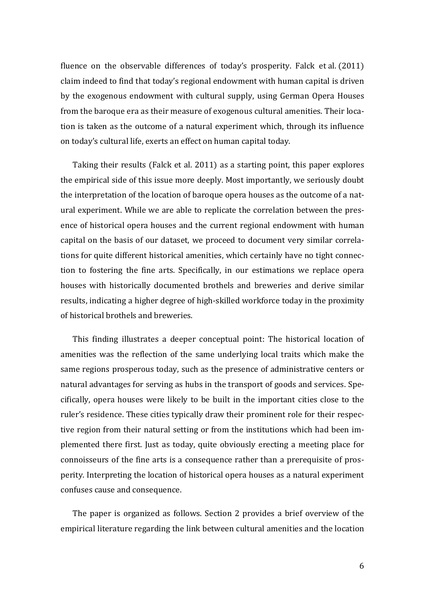fluence on the observable differences of today's prosperity. Falck et al. (2011) claim indeed to find that today's regional endowment with human capital is driven by the exogenous endowment with cultural supply, using German Opera Houses from the baroque era as their measure of exogenous cultural amenities. Their location is taken as the outcome of a natural experiment which, through its influence on today's cultural life, exerts an effect on human capital today.

Taking their results (Falck et al. 2011) as a starting point, this paper explores the empirical side of this issue more deeply. Most importantly, we seriously doubt the interpretation of the location of baroque opera houses as the outcome of a natural experiment. While we are able to replicate the correlation between the presence of historical opera houses and the current regional endowment with human capital on the basis of our dataset, we proceed to document very similar correlations for quite different historical amenities, which certainly have no tight connection to fostering the fine arts. Specifically, in our estimations we replace opera houses with historically documented brothels and breweries and derive similar results, indicating a higher degree of high-skilled workforce today in the proximity of historical brothels and breweries.

This finding illustrates a deeper conceptual point: The historical location of amenities was the reflection of the same underlying local traits which make the same regions prosperous today, such as the presence of administrative centers or natural advantages for serving as hubs in the transport of goods and services. Specifically, opera houses were likely to be built in the important cities close to the ruler's residence. These cities typically draw their prominent role for their respective region from their natural setting or from the institutions which had been implemented there first. Just as today, quite obviously erecting a meeting place for connoisseurs of the fine arts is a consequence rather than a prerequisite of prosperity. Interpreting the location of historical opera houses as a natural experiment confuses cause and consequence.

The paper is organized as follows. Section 2 provides a brief overview of the empirical literature regarding the link between cultural amenities and the location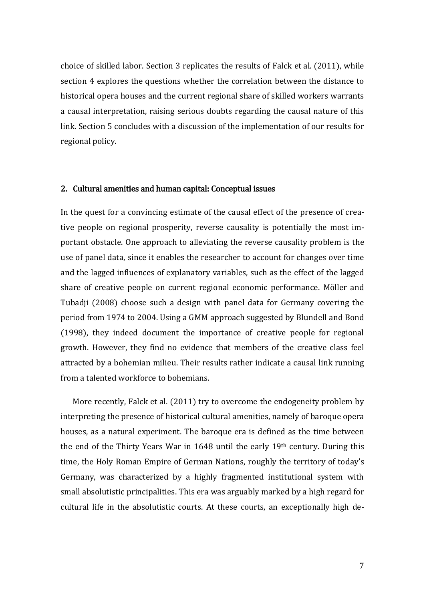choice of skilled labor. Section 3 replicates the results of Falck et al. (2011), while section 4 explores the questions whether the correlation between the distance to historical opera houses and the current regional share of skilled workers warrants a causal interpretation, raising serious doubts regarding the causal nature of this link. Section 5 concludes with a discussion of the implementation of our results for regional policy.

#### 2. Cultural amenities and human capital: Conceptual issues

In the quest for a convincing estimate of the causal effect of the presence of creative people on regional prosperity, reverse causality is potentially the most important obstacle. One approach to alleviating the reverse causality problem is the use of panel data, since it enables the researcher to account for changes over time and the lagged influences of explanatory variables, such as the effect of the lagged share of creative people on current regional economic performance. Möller and Tubadji (2008) choose such a design with panel data for Germany covering the period from 1974 to 2004. Using a GMM approach suggested by Blundell and Bond (1998), they indeed document the importance of creative people for regional growth. However, they find no evidence that members of the creative class feel attracted by a bohemian milieu. Their results rather indicate a causal link running from a talented workforce to bohemians.

More recently, Falck et al. (2011) try to overcome the endogeneity problem by interpreting the presence of historical cultural amenities, namely of baroque opera houses, as a natural experiment. The baroque era is defined as the time between the end of the Thirty Years War in 1648 until the early 19th century. During this time, the Holy Roman Empire of German Nations, roughly the territory of today's Germany, was characterized by a highly fragmented institutional system with small absolutistic principalities. This era was arguably marked by a high regard for cultural life in the absolutistic courts. At these courts, an exceptionally high de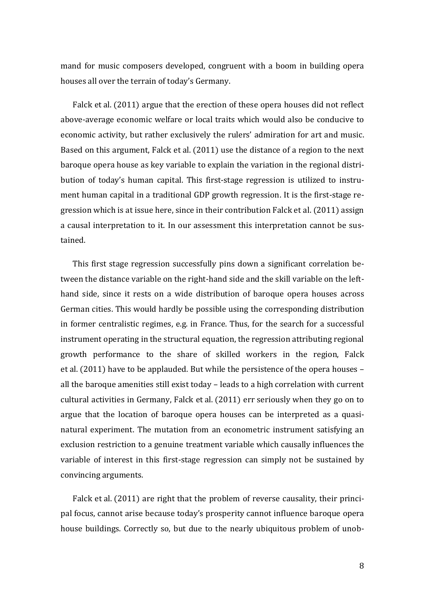mand for music composers developed, congruent with a boom in building opera houses all over the terrain of today's Germany.

Falck et al. (2011) argue that the erection of these opera houses did not reflect above-average economic welfare or local traits which would also be conducive to economic activity, but rather exclusively the rulers' admiration for art and music. Based on this argument, Falck et al. (2011) use the distance of a region to the next baroque opera house as key variable to explain the variation in the regional distribution of today's human capital. This first-stage regression is utilized to instrument human capital in a traditional GDP growth regression. It is the first-stage regression which is at issue here, since in their contribution Falck et al. (2011) assign a causal interpretation to it. In our assessment this interpretation cannot be sustained.

This first stage regression successfully pins down a significant correlation between the distance variable on the right-hand side and the skill variable on the lefthand side, since it rests on a wide distribution of baroque opera houses across German cities. This would hardly be possible using the corresponding distribution in former centralistic regimes, e.g. in France. Thus, for the search for a successful instrument operating in the structural equation, the regression attributing regional growth performance to the share of skilled workers in the region, Falck et al. (2011) have to be applauded. But while the persistence of the opera houses – all the baroque amenities still exist today – leads to a high correlation with current cultural activities in Germany, Falck et al. (2011) err seriously when they go on to argue that the location of baroque opera houses can be interpreted as a quasinatural experiment. The mutation from an econometric instrument satisfying an exclusion restriction to a genuine treatment variable which causally influences the variable of interest in this first-stage regression can simply not be sustained by convincing arguments.

Falck et al. (2011) are right that the problem of reverse causality, their principal focus, cannot arise because today's prosperity cannot influence baroque opera house buildings. Correctly so, but due to the nearly ubiquitous problem of unob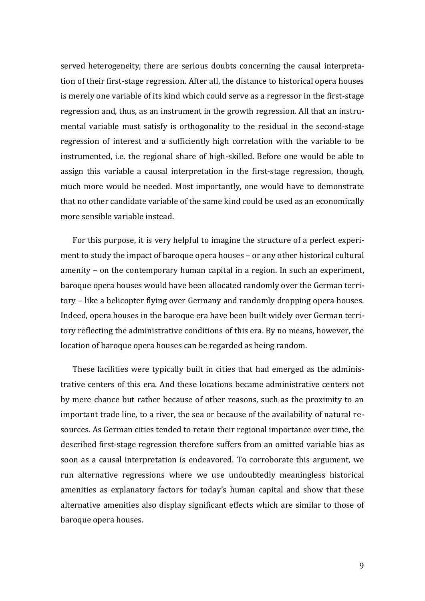served heterogeneity, there are serious doubts concerning the causal interpretation of their first-stage regression. After all, the distance to historical opera houses is merely one variable of its kind which could serve as a regressor in the first-stage regression and, thus, as an instrument in the growth regression. All that an instrumental variable must satisfy is orthogonality to the residual in the second-stage regression of interest and a sufficiently high correlation with the variable to be instrumented, i.e. the regional share of high-skilled. Before one would be able to assign this variable a causal interpretation in the first-stage regression, though, much more would be needed. Most importantly, one would have to demonstrate that no other candidate variable of the same kind could be used as an economically more sensible variable instead.

For this purpose, it is very helpful to imagine the structure of a perfect experiment to study the impact of baroque opera houses – or any other historical cultural amenity – on the contemporary human capital in a region. In such an experiment, baroque opera houses would have been allocated randomly over the German territory – like a helicopter flying over Germany and randomly dropping opera houses. Indeed, opera houses in the baroque era have been built widely over German territory reflecting the administrative conditions of this era. By no means, however, the location of baroque opera houses can be regarded as being random.

These facilities were typically built in cities that had emerged as the administrative centers of this era. And these locations became administrative centers not by mere chance but rather because of other reasons, such as the proximity to an important trade line, to a river, the sea or because of the availability of natural resources. As German cities tended to retain their regional importance over time, the described first-stage regression therefore suffers from an omitted variable bias as soon as a causal interpretation is endeavored. To corroborate this argument, we run alternative regressions where we use undoubtedly meaningless historical amenities as explanatory factors for today's human capital and show that these alternative amenities also display significant effects which are similar to those of baroque opera houses.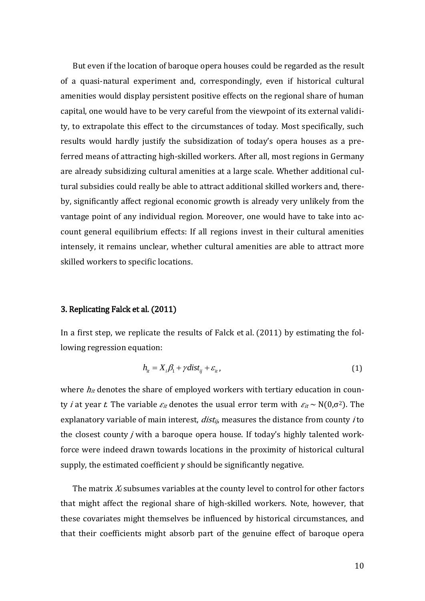But even if the location of baroque opera houses could be regarded as the result of a quasi-natural experiment and, correspondingly, even if historical cultural amenities would display persistent positive effects on the regional share of human capital, one would have to be very careful from the viewpoint of its external validity, to extrapolate this effect to the circumstances of today. Most specifically, such results would hardly justify the subsidization of today's opera houses as a preferred means of attracting high-skilled workers. After all, most regions in Germany are already subsidizing cultural amenities at a large scale. Whether additional cultural subsidies could really be able to attract additional skilled workers and, thereby, significantly affect regional economic growth is already very unlikely from the vantage point of any individual region. Moreover, one would have to take into account general equilibrium effects: If all regions invest in their cultural amenities intensely, it remains unclear, whether cultural amenities are able to attract more skilled workers to specific locations.

#### 3. Replicating Falck et al. (2011)

In a first step, we replicate the results of Falck et al. (2011) by estimating the following regression equation:

$$
h_{ii} = X_i \beta_1 + \gamma \operatorname{dist}_{ij} + \varepsilon_{ii}, \tag{1}
$$

where  $h_{it}$  denotes the share of employed workers with tertiary education in county *i* at year *t*. The variable  $\varepsilon_{it}$  denotes the usual error term with  $\varepsilon_{it} \sim N(0,\sigma^2)$ . The explanatory variable of main interest,  $dist_{ij}$  measures the distance from county *i* to the closest county j with a baroque opera house. If today's highly talented workforce were indeed drawn towards locations in the proximity of historical cultural supply, the estimated coefficient  $\gamma$  should be significantly negative.

The matrix  $X_i$  subsumes variables at the county level to control for other factors that might affect the regional share of high-skilled workers. Note, however, that these covariates might themselves be influenced by historical circumstances, and that their coefficients might absorb part of the genuine effect of baroque opera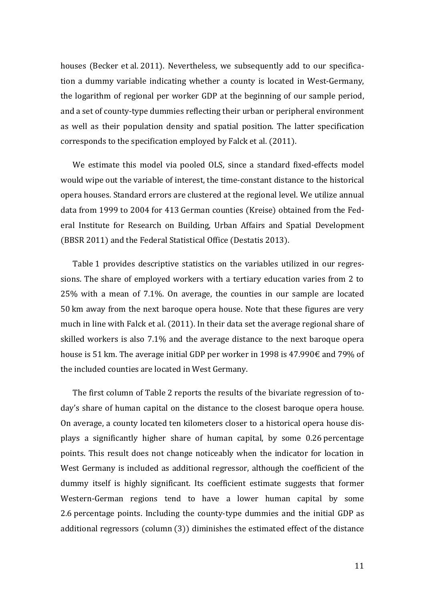houses (Becker et al. 2011). Nevertheless, we subsequently add to our specification a dummy variable indicating whether a county is located in West-Germany, the logarithm of regional per worker GDP at the beginning of our sample period, and a set of county-type dummies reflecting their urban or peripheral environment as well as their population density and spatial position. The latter specification corresponds to the specification employed by Falck et al. (2011).

We estimate this model via pooled OLS, since a standard fixed-effects model would wipe out the variable of interest, the time-constant distance to the historical opera houses. Standard errors are clustered at the regional level. We utilize annual data from 1999 to 2004 for 413 German counties (Kreise) obtained from the Federal Institute for Research on Building, Urban Affairs and Spatial Development (BBSR 2011) and the Federal Statistical Office (Destatis 2013).

Table 1 provides descriptive statistics on the variables utilized in our regressions. The share of employed workers with a tertiary education varies from 2 to 25% with a mean of 7.1%. On average, the counties in our sample are located 50 km away from the next baroque opera house. Note that these figures are very much in line with Falck et al. (2011). In their data set the average regional share of skilled workers is also 7.1% and the average distance to the next baroque opera house is 51 km. The average initial GDP per worker in 1998 is 47.990€ and 79% of the included counties are located in West Germany.

The first column of Table 2 reports the results of the bivariate regression of today's share of human capital on the distance to the closest baroque opera house. On average, a county located ten kilometers closer to a historical opera house displays a significantly higher share of human capital, by some 0.26 percentage points. This result does not change noticeably when the indicator for location in West Germany is included as additional regressor, although the coefficient of the dummy itself is highly significant. Its coefficient estimate suggests that former Western-German regions tend to have a lower human capital by some 2.6 percentage points. Including the county-type dummies and the initial GDP as additional regressors (column (3)) diminishes the estimated effect of the distance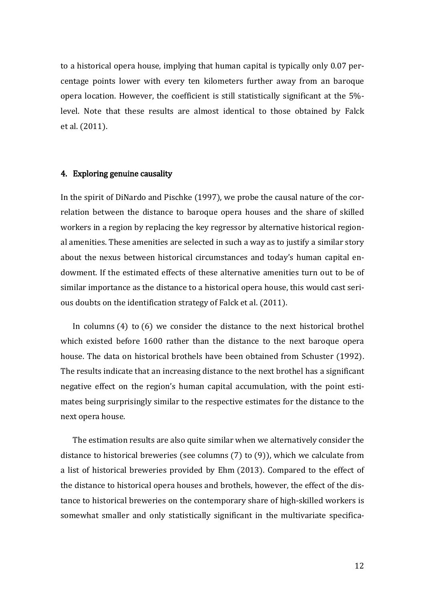to a historical opera house, implying that human capital is typically only 0.07 percentage points lower with every ten kilometers further away from an baroque opera location. However, the coefficient is still statistically significant at the 5% level. Note that these results are almost identical to those obtained by Falck et al. (2011).

#### 4. Exploring genuine causality

In the spirit of DiNardo and Pischke (1997), we probe the causal nature of the correlation between the distance to baroque opera houses and the share of skilled workers in a region by replacing the key regressor by alternative historical regional amenities. These amenities are selected in such a way as to justify a similar story about the nexus between historical circumstances and today's human capital endowment. If the estimated effects of these alternative amenities turn out to be of similar importance as the distance to a historical opera house, this would cast serious doubts on the identification strategy of Falck et al. (2011).

In columns (4) to (6) we consider the distance to the next historical brothel which existed before 1600 rather than the distance to the next baroque opera house. The data on historical brothels have been obtained from Schuster (1992). The results indicate that an increasing distance to the next brothel has a significant negative effect on the region's human capital accumulation, with the point estimates being surprisingly similar to the respective estimates for the distance to the next opera house.

The estimation results are also quite similar when we alternatively consider the distance to historical breweries (see columns (7) to (9)), which we calculate from a list of historical breweries provided by Ehm (2013). Compared to the effect of the distance to historical opera houses and brothels, however, the effect of the distance to historical breweries on the contemporary share of high-skilled workers is somewhat smaller and only statistically significant in the multivariate specifica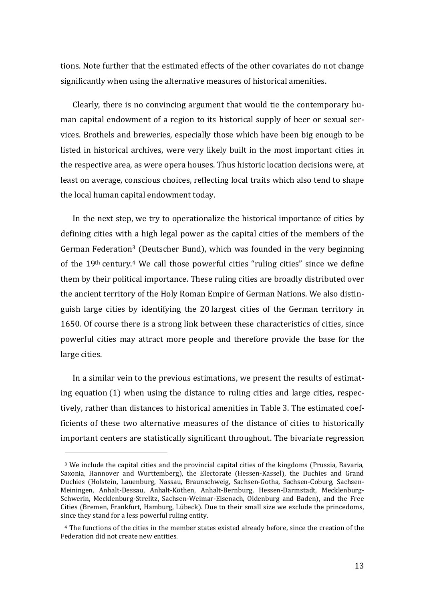tions. Note further that the estimated effects of the other covariates do not change significantly when using the alternative measures of historical amenities.

Clearly, there is no convincing argument that would tie the contemporary human capital endowment of a region to its historical supply of beer or sexual services. Brothels and breweries, especially those which have been big enough to be listed in historical archives, were very likely built in the most important cities in the respective area, as were opera houses. Thus historic location decisions were, at least on average, conscious choices, reflecting local traits which also tend to shape the local human capital endowment today.

In the next step, we try to operationalize the historical importance of cities by defining cities with a high legal power as the capital cities of the members of the German Federation<sup>3</sup> (Deutscher Bund), which was founded in the very beginning of the 19th century.<sup>4</sup> We call those powerful cities "ruling cities" since we define them by their political importance. These ruling cities are broadly distributed over the ancient territory of the Holy Roman Empire of German Nations. We also distinguish large cities by identifying the 20 largest cities of the German territory in 1650. Of course there is a strong link between these characteristics of cities, since powerful cities may attract more people and therefore provide the base for the large cities.

In a similar vein to the previous estimations, we present the results of estimating equation (1) when using the distance to ruling cities and large cities, respectively, rather than distances to historical amenities in Table 3. The estimated coefficients of these two alternative measures of the distance of cities to historically important centers are statistically significant throughout. The bivariate regression

.

<sup>3</sup> We include the capital cities and the provincial capital cities of the kingdoms (Prussia, Bavaria, Saxonia, Hannover and Wurttemberg), the Electorate (Hessen-Kassel), the Duchies and Grand Duchies (Holstein, Lauenburg, Nassau, Braunschweig, Sachsen-Gotha, Sachsen-Coburg, Sachsen-Meiningen, Anhalt-Dessau, Anhalt-Köthen, Anhalt-Bernburg, Hessen-Darmstadt, Mecklenburg-Schwerin, Mecklenburg-Strelitz, Sachsen-Weimar-Eisenach, Oldenburg and Baden), and the Free Cities (Bremen, Frankfurt, Hamburg, Lübeck). Due to their small size we exclude the princedoms, since they stand for a less powerful ruling entity.

<sup>4</sup> The functions of the cities in the member states existed already before, since the creation of the Federation did not create new entities.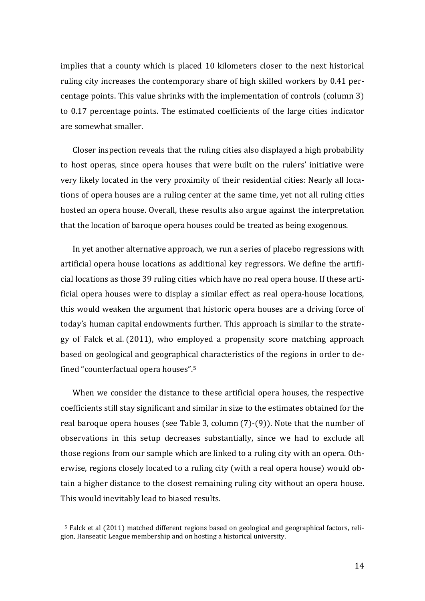implies that a county which is placed 10 kilometers closer to the next historical ruling city increases the contemporary share of high skilled workers by 0.41 percentage points. This value shrinks with the implementation of controls (column 3) to 0.17 percentage points. The estimated coefficients of the large cities indicator are somewhat smaller.

Closer inspection reveals that the ruling cities also displayed a high probability to host operas, since opera houses that were built on the rulers' initiative were very likely located in the very proximity of their residential cities: Nearly all locations of opera houses are a ruling center at the same time, yet not all ruling cities hosted an opera house. Overall, these results also argue against the interpretation that the location of baroque opera houses could be treated as being exogenous.

In yet another alternative approach, we run a series of placebo regressions with artificial opera house locations as additional key regressors. We define the artificial locations as those 39 ruling cities which have no real opera house. If these artificial opera houses were to display a similar effect as real opera-house locations, this would weaken the argument that historic opera houses are a driving force of today's human capital endowments further. This approach is similar to the strategy of Falck et al. (2011), who employed a propensity score matching approach based on geological and geographical characteristics of the regions in order to defined "counterfactual opera houses".<sup>5</sup>

When we consider the distance to these artificial opera houses, the respective coefficients still stay significant and similar in size to the estimates obtained for the real baroque opera houses (see Table 3, column (7)-(9)). Note that the number of observations in this setup decreases substantially, since we had to exclude all those regions from our sample which are linked to a ruling city with an opera. Otherwise, regions closely located to a ruling city (with a real opera house) would obtain a higher distance to the closest remaining ruling city without an opera house. This would inevitably lead to biased results.

.

<sup>5</sup> Falck et al (2011) matched different regions based on geological and geographical factors, religion, Hanseatic League membership and on hosting a historical university.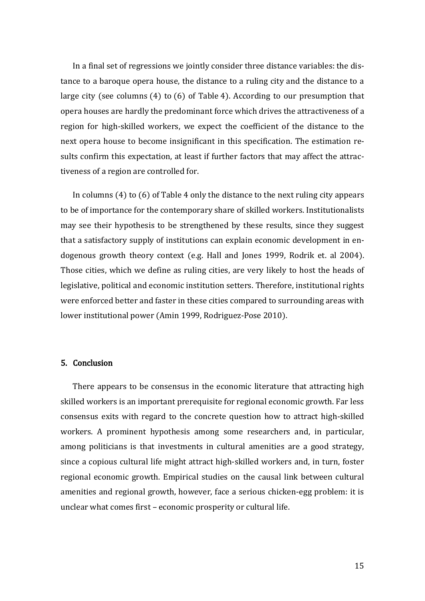In a final set of regressions we jointly consider three distance variables: the distance to a baroque opera house, the distance to a ruling city and the distance to a large city (see columns (4) to (6) of Table 4). According to our presumption that opera houses are hardly the predominant force which drives the attractiveness of a region for high-skilled workers, we expect the coefficient of the distance to the next opera house to become insignificant in this specification. The estimation results confirm this expectation, at least if further factors that may affect the attractiveness of a region are controlled for.

In columns (4) to (6) of Table 4 only the distance to the next ruling city appears to be of importance for the contemporary share of skilled workers. Institutionalists may see their hypothesis to be strengthened by these results, since they suggest that a satisfactory supply of institutions can explain economic development in endogenous growth theory context (e.g. Hall and Jones 1999, Rodrik et. al 2004). Those cities, which we define as ruling cities, are very likely to host the heads of legislative, political and economic institution setters. Therefore, institutional rights were enforced better and faster in these cities compared to surrounding areas with lower institutional power (Amin 1999, Rodriguez-Pose 2010).

#### 5. Conclusion

There appears to be consensus in the economic literature that attracting high skilled workers is an important prerequisite for regional economic growth. Far less consensus exits with regard to the concrete question how to attract high-skilled workers. A prominent hypothesis among some researchers and, in particular, among politicians is that investments in cultural amenities are a good strategy, since a copious cultural life might attract high-skilled workers and, in turn, foster regional economic growth. Empirical studies on the causal link between cultural amenities and regional growth, however, face a serious chicken-egg problem: it is unclear what comes first – economic prosperity or cultural life.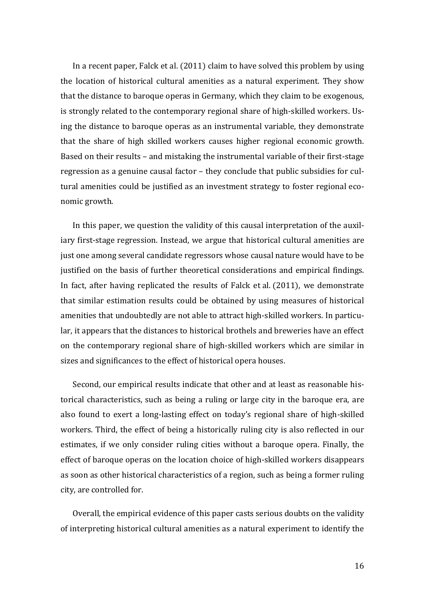In a recent paper, Falck et al. (2011) claim to have solved this problem by using the location of historical cultural amenities as a natural experiment. They show that the distance to baroque operas in Germany, which they claim to be exogenous, is strongly related to the contemporary regional share of high-skilled workers. Using the distance to baroque operas as an instrumental variable, they demonstrate that the share of high skilled workers causes higher regional economic growth. Based on their results – and mistaking the instrumental variable of their first-stage regression as a genuine causal factor – they conclude that public subsidies for cultural amenities could be justified as an investment strategy to foster regional economic growth.

In this paper, we question the validity of this causal interpretation of the auxiliary first-stage regression. Instead, we argue that historical cultural amenities are just one among several candidate regressors whose causal nature would have to be justified on the basis of further theoretical considerations and empirical findings. In fact, after having replicated the results of Falck et al. (2011), we demonstrate that similar estimation results could be obtained by using measures of historical amenities that undoubtedly are not able to attract high-skilled workers. In particular, it appears that the distances to historical brothels and breweries have an effect on the contemporary regional share of high-skilled workers which are similar in sizes and significances to the effect of historical opera houses.

Second, our empirical results indicate that other and at least as reasonable historical characteristics, such as being a ruling or large city in the baroque era, are also found to exert a long-lasting effect on today's regional share of high-skilled workers. Third, the effect of being a historically ruling city is also reflected in our estimates, if we only consider ruling cities without a baroque opera. Finally, the effect of baroque operas on the location choice of high-skilled workers disappears as soon as other historical characteristics of a region, such as being a former ruling city, are controlled for.

Overall, the empirical evidence of this paper casts serious doubts on the validity of interpreting historical cultural amenities as a natural experiment to identify the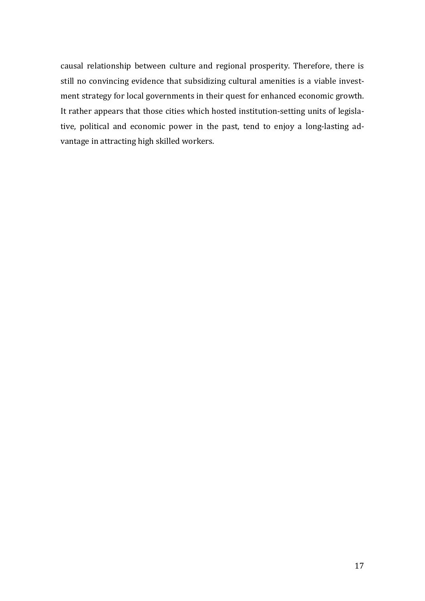causal relationship between culture and regional prosperity. Therefore, there is still no convincing evidence that subsidizing cultural amenities is a viable investment strategy for local governments in their quest for enhanced economic growth. It rather appears that those cities which hosted institution-setting units of legislative, political and economic power in the past, tend to enjoy a long-lasting advantage in attracting high skilled workers.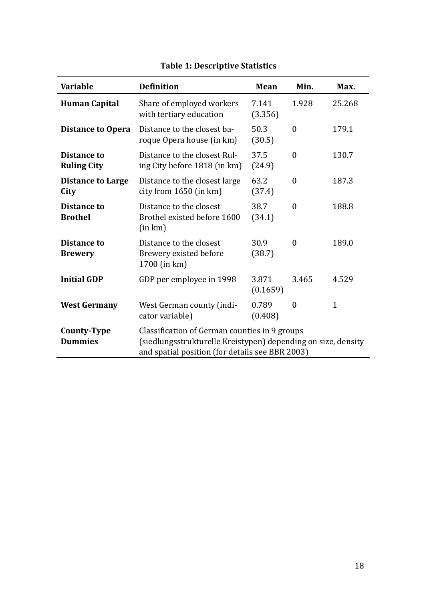| <b>Variable</b>                      | <b>Definition</b>                                                                                                                                                 | Mean              | Min.             | Max.         |  |  |
|--------------------------------------|-------------------------------------------------------------------------------------------------------------------------------------------------------------------|-------------------|------------------|--------------|--|--|
| <b>Human Capital</b>                 | Share of employed workers<br>with tertiary education                                                                                                              | 7.141<br>(3.356)  | 1.928            | 25.268       |  |  |
| <b>Distance to Opera</b>             | Distance to the closest ba-<br>roque Opera house (in km)                                                                                                          | 50.3<br>(30.5)    | $\mathbf{0}$     | 179.1        |  |  |
| Distance to<br><b>Ruling City</b>    | Distance to the closest Rul-<br>ing City before 1818 (in km)                                                                                                      | 37.5<br>(24.9)    | $\mathbf{0}$     | 130.7        |  |  |
| <b>Distance to Large</b><br>City     | Distance to the closest large<br>city from 1650 (in km)                                                                                                           | 63.2<br>(37.4)    | $\mathbf{0}$     | 187.3        |  |  |
| <b>Distance to</b><br><b>Brothel</b> | Distance to the closest<br>Brothel existed before 1600<br>(in km)                                                                                                 | 38.7<br>(34.1)    | $\boldsymbol{0}$ | 188.8        |  |  |
| <b>Distance to</b><br><b>Brewery</b> | Distance to the closest<br>Brewery existed before<br>1700 (in km)                                                                                                 | 30.9<br>(38.7)    | $\mathbf{0}$     | 189.0        |  |  |
| <b>Initial GDP</b>                   | GDP per employee in 1998                                                                                                                                          | 3.871<br>(0.1659) | 3.465            | 4.529        |  |  |
| <b>West Germany</b>                  | West German county (indi-<br>cator variable)                                                                                                                      | 0.789<br>(0.408)  | $\theta$         | $\mathbf{1}$ |  |  |
| County-Type<br><b>Dummies</b>        | Classification of German counties in 9 groups<br>(siedlungsstrukturelle Kreistypen) depending on size, density<br>and spatial position (for details see BBR 2003) |                   |                  |              |  |  |

## **Table 1: Descriptive Statistics**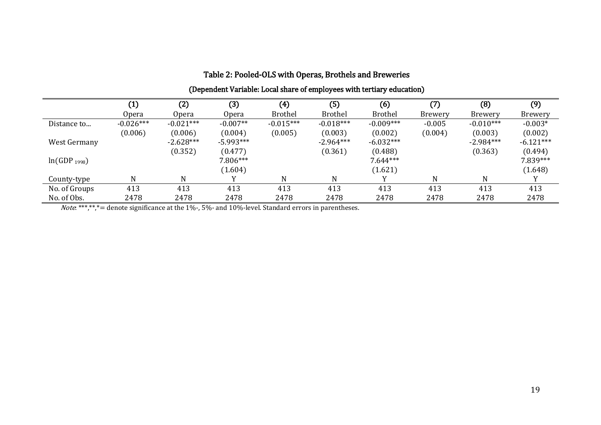### Table 2: Pooled-OLS with Operas, Brothels and Breweries

### (Dependent Variable: Local share of employees with tertiary education)

|                  | (1)         | (2)          | (3)         | (4)            | (5)            | (6)            | (7)      | (8)         | (9)         |
|------------------|-------------|--------------|-------------|----------------|----------------|----------------|----------|-------------|-------------|
|                  | Opera       | <b>Opera</b> | Opera       | <b>Brothel</b> | <b>Brothel</b> | <b>Brothel</b> | Brewery  | Brewery     | Brewery     |
| Distance to      | $-0.026***$ | $-0.021***$  | $-0.007**$  | $-0.015***$    | $-0.018***$    | $-0.009***$    | $-0.005$ | $-0.010***$ | $-0.003*$   |
|                  | (0.006)     | (0.006)      | (0.004)     | (0.005)        | (0.003)        | (0.002)        | (0.004)  | (0.003)     | (0.002)     |
| West Germany     |             | $-2.628***$  | $-5.993***$ |                | $-2.964***$    | $-6.032***$    |          | $-2.984***$ | $-6.121***$ |
|                  |             | (0.352)      | (0.477)     |                | (0.361)        | (0.488)        |          | (0.363)     | (0.494)     |
| $ln(GDP_{1998})$ |             |              | 7.806***    |                |                | $7.644***$     |          |             | 7.839***    |
|                  |             |              | (1.604)     |                |                | (1.621)        |          |             | (1.648)     |
| County-type      | N           | $\mathbf N$  |             | N              | N              |                |          | N           |             |
| No. of Groups    | 413         | 413          | 413         | 413            | 413            | 413            | 413      | 413         | 413         |
| No. of Obs.      | 2478        | 2478         | 2478        | 2478           | 2478           | 2478           | 2478     | 2478        | 2478        |

Note: \*\*\*,\*\*,\*= denote significance at the 1%-, 5%- and 10%-level. Standard errors in parentheses.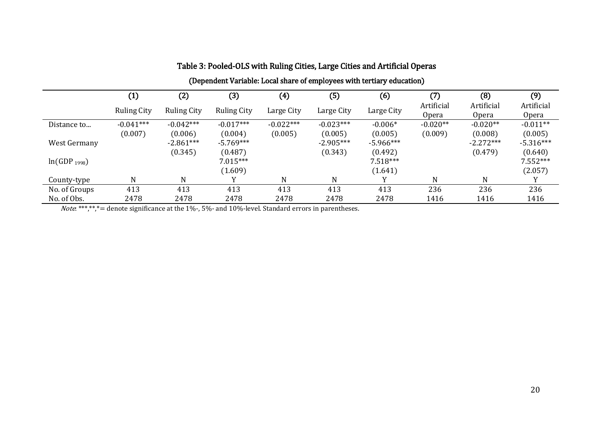|                  | $\left( 1\right)$  | (2)                | (3)                | (4)         | (5)         | (6)         | (7)                        | (8)                        | (9)                        |
|------------------|--------------------|--------------------|--------------------|-------------|-------------|-------------|----------------------------|----------------------------|----------------------------|
|                  | <b>Ruling City</b> | <b>Ruling City</b> | <b>Ruling City</b> | Large City  | Large City  | Large City  | Artificial<br><b>Opera</b> | Artificial<br><b>Opera</b> | Artificial<br><b>Opera</b> |
| Distance to      | $-0.041***$        | $-0.042***$        | $-0.017***$        | $-0.022***$ | $-0.023***$ | $-0.006*$   | $-0.020**$                 | $-0.020**$                 | $-0.011**$                 |
|                  | (0.007)            | (0.006)            | (0.004)            | (0.005)     | (0.005)     | (0.005)     | (0.009)                    | (0.008)                    | (0.005)                    |
| West Germany     |                    | $-2.861***$        | $-5.769***$        |             | $-2.905***$ | $-5.966***$ |                            | $-2.272***$                | $-5.316***$                |
|                  |                    | (0.345)            | (0.487)            |             | (0.343)     | (0.492)     |                            | (0.479)                    | (0.640)                    |
| $ln(GDP_{1998})$ |                    |                    | $7.015***$         |             |             | $7.518***$  |                            |                            | $7.552***$                 |
|                  |                    |                    | (1.609)            |             |             | (1.641)     |                            |                            | (2.057)                    |
| County-type      | N                  | N                  |                    | N           | N           |             | N                          | N                          |                            |
| No. of Groups    | 413                | 413                | 413                | 413         | 413         | 413         | 236                        | 236                        | 236                        |
| No. of Obs.      | 2478               | 2478               | 2478               | 2478        | 2478        | 2478        | 1416                       | 1416                       | 1416                       |

### Table 3: Pooled-OLS with Ruling Cities, Large Cities and Artificial Operas

(Dependent Variable: Local share of employees with tertiary education)

Note: \*\*\*,\*\*,\*= denote significance at the 1%-, 5%- and 10%-level. Standard errors in parentheses.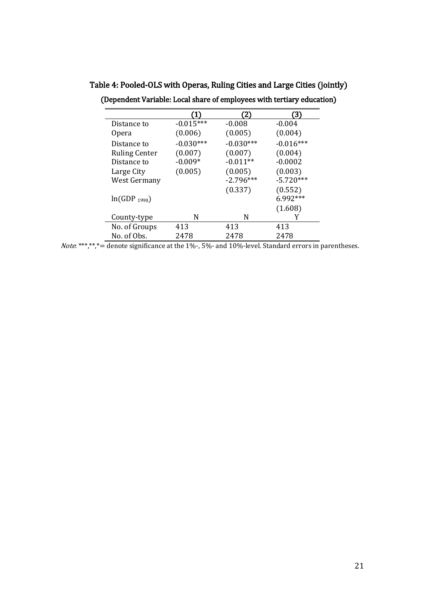|                      |             | 2           | 3)          |
|----------------------|-------------|-------------|-------------|
| Distance to          | $-0.015***$ | $-0.008$    | $-0.004$    |
| <b>Opera</b>         | (0.006)     | (0.005)     | (0.004)     |
| Distance to          | $-0.030***$ | $-0.030***$ | $-0.016***$ |
| <b>Ruling Center</b> | (0.007)     | (0.007)     | (0.004)     |
| Distance to          | $-0.009*$   | $-0.011**$  | $-0.0002$   |
| Large City           | (0.005)     | (0.005)     | (0.003)     |
| West Germany         |             | $-2.796***$ | $-5.720***$ |
|                      |             | (0.337)     | (0.552)     |
| $ln(GDP_{1998})$     |             |             | 6.992***    |
|                      |             |             | (1.608)     |
| County-type          | N           | N           |             |
| No. of Groups        | 413         | 413         | 413         |
| No. of Obs.          | 2478        | 2478        | 2478        |

Table 4: Pooled-OLS with Operas, Ruling Cities and Large Cities (jointly)

(Dependent Variable: Local share of employees with tertiary education)

Note: \*\*\*,\*\*,\*= denote significance at the 1%-, 5%- and 10%-level. Standard errors in parentheses.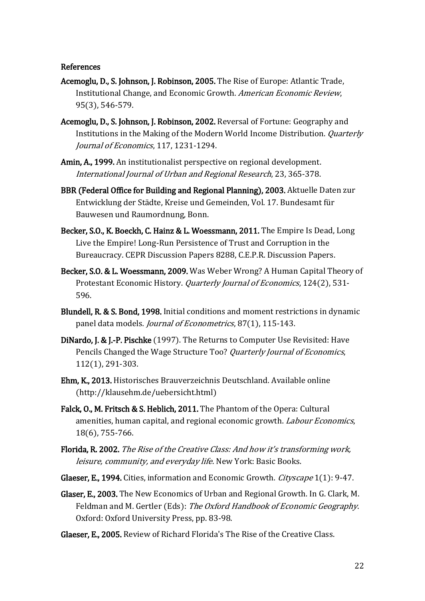#### References

- Acemoglu, D., S. Johnson, J. Robinson, 2005. The Rise of Europe: Atlantic Trade, Institutional Change, and Economic Growth. American Economic Review, 95(3), 546-579.
- Acemoglu, D., S. Johnson, J. Robinson, 2002[. Reversal of Fortune: Geography and](http://economics.mit.edu/files/4127)  [Institutions in the Making of the Modern World Income Distribution.](http://economics.mit.edu/files/4127) Quarterly Journal of Economics, 117, 1231-1294.
- Amin, A., 1999. An institutionalist perspective on regional development. International Journal of Urban and Regional Research, 23, 365-378.
- BBR (Federal Office for Building and Regional Planning), 2003. Aktuelle Daten zur Entwicklung der Städte, Kreise und Gemeinden, Vol. 17. Bundesamt für Bauwesen und Raumordnung, Bonn.
- Becker, S.O., K. Boeckh, C. Hainz & L. Woessmann, 2011. The Empire Is Dead, Long Live the Empire! Long-Run Persistence of Trust and Corruption in the Bureaucracy. CEPR Discussion Papers 8288, C.E.P.R. Discussion Papers.
- Becker, S.O. & L. Woessmann, 2009. Was Weber Wrong? A Human Capital Theory of Protestant Economic History. Quarterly Journal of Economics, 124(2), 531- 596.
- Blundell, R. & S. Bond, 1998. Initial conditions and moment restrictions in dynamic panel data models. *Journal of Econometrics*, 87(1), 115-143.
- DiNardo, J. & J.-P. Pischke (1997). The Returns to Computer Use Revisited: Have Pencils Changed the Wage Structure Too? Quarterly Journal of Economics, 112(1), 291-303.
- Ehm, K., 2013. Historisches Brauverzeichnis Deutschland. Available online (http://klausehm.de/uebersicht.html)
- Falck, O., M. Fritsch & S. Heblich, 2011. The Phantom of the Opera: Cultural amenities, human capital, and regional economic growth. Labour Economics, 18(6), 755-766.
- Florida, R. 2002. The Rise of the Creative Class: And how it's transforming work, leisure, community, and everyday life. New York: Basic Books.
- Glaeser, E., 1994. Cities, information and Economic Growth. Cityscape 1(1): 9-47.
- Glaser, E., 2003. The New Economics of Urban and Regional Growth. In G. Clark, M. Feldman and M. Gertler (Eds): The Oxford Handbook of Economic Geography. Oxford: Oxford University Press, pp. 83-98.
- Glaeser, E., 2005. Review of Richard Florida's The Rise of the Creative Class.